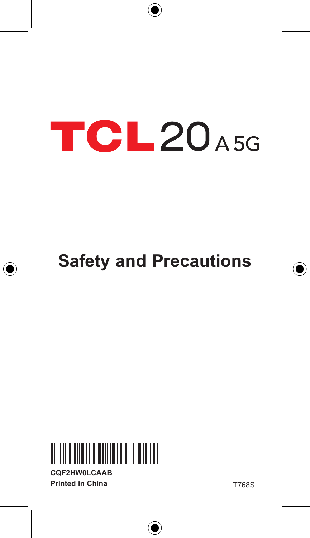

# **TCL20A5G**







**CQF2HW0LCAAB Printed in China**

T768S

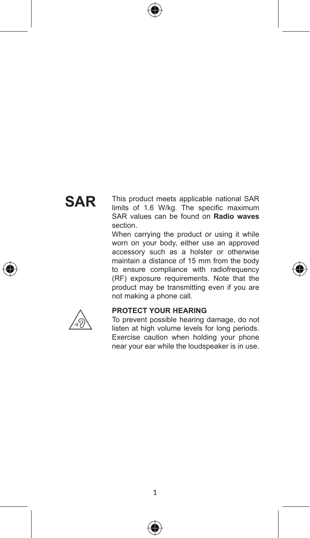# **SAR**

This product meets applicable national SAR limits of 1.6 W/kg. The specific maximum SAR values can be found on **Radio waves** section.

When carrying the product or using it while worn on your body, either use an approved accessory such as a holster or otherwise maintain a distance of 15 mm from the body to ensure compliance with radiofrequency (RF) exposure requirements. Note that the product may be transmitting even if you are not making a phone call.



#### **PROTECT YOUR HEARING**

To prevent possible hearing damage, do not listen at high volume levels for long periods. Exercise caution when holding your phone near your ear while the loudspeaker is in use.

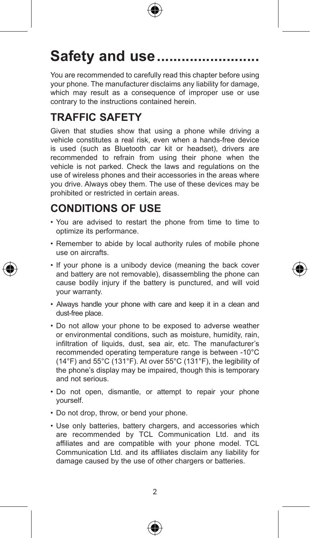

# Safety and use...........

You are recommended to carefully read this chapter before using your phone. The manufacturer disclaims any liability for damage, which may result as a consequence of improper use or use contrary to the instructions contained herein.

## **TRAFFIC SAFETY**

Given that studies show that using a phone while driving a vehicle constitutes a real risk, even when a hands-free device is used (such as Bluetooth car kit or headset), drivers are recommended to refrain from using their phone when the vehicle is not parked. Check the laws and regulations on the use of wireless phones and their accessories in the areas where you drive. Always obey them. The use of these devices may be prohibited or restricted in certain areas.

## **CONDITIONS OF USE**

- • You are advised to restart the phone from time to time to optimize its performance.
- Remember to abide by local authority rules of mobile phone use on aircrafts.
- If your phone is a unibody device (meaning the back cover and battery are not removable), disassembling the phone can cause bodily injury if the battery is punctured, and will void your warranty.
- Always handle your phone with care and keep it in a clean and dust-free place.
- Do not allow your phone to be exposed to adverse weather or environmental conditions, such as moisture, humidity, rain, infiltration of liquids, dust, sea air, etc. The manufacturer's recommended operating temperature range is between -10°C (14°F) and 55°C (131°F). At over 55°C (131°F), the legibility of the phone's display may be impaired, though this is temporary and not serious.
- Do not open, dismantle, or attempt to repair your phone yourself.
- Do not drop, throw, or bend your phone.
- Use only batteries, battery chargers, and accessories which are recommended by TCL Communication Ltd. and its affiliates and are compatible with your phone model. TCL Communication Ltd. and its affiliates disclaim any liability for damage caused by the use of other chargers or batteries.



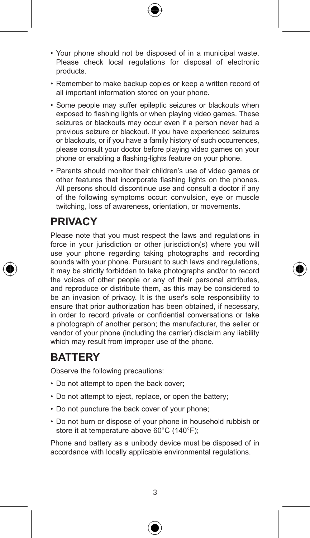- • Your phone should not be disposed of in a municipal waste. Please check local regulations for disposal of electronic products.
- Remember to make backup copies or keep a written record of all important information stored on your phone.
- • Some people may suffer epileptic seizures or blackouts when exposed to flashing lights or when playing video games. These seizures or blackouts may occur even if a person never had a previous seizure or blackout. If you have experienced seizures or blackouts, or if you have a family history of such occurrences, please consult your doctor before playing video games on your phone or enabling a flashing-lights feature on your phone.
- Parents should monitor their children's use of video games or other features that incorporate flashing lights on the phones. All persons should discontinue use and consult a doctor if any of the following symptoms occur: convulsion, eye or muscle twitching, loss of awareness, orientation, or movements.

## **PRIVACY**

Please note that you must respect the laws and regulations in force in your jurisdiction or other jurisdiction(s) where you will use your phone regarding taking photographs and recording sounds with your phone. Pursuant to such laws and regulations, it may be strictly forbidden to take photographs and/or to record the voices of other people or any of their personal attributes, and reproduce or distribute them, as this may be considered to be an invasion of privacy. It is the user's sole responsibility to ensure that prior authorization has been obtained, if necessary, in order to record private or confidential conversations or take a photograph of another person; the manufacturer, the seller or vendor of your phone (including the carrier) disclaim any liability which may result from improper use of the phone.

### **BATTERY**

Observe the following precautions:

- Do not attempt to open the back cover:
- Do not attempt to eject, replace, or open the battery;
- Do not puncture the back cover of your phone:
- • Do not burn or dispose of your phone in household rubbish or store it at temperature above 60°C (140°F):

Phone and battery as a unibody device must be disposed of in accordance with locally applicable environmental regulations.



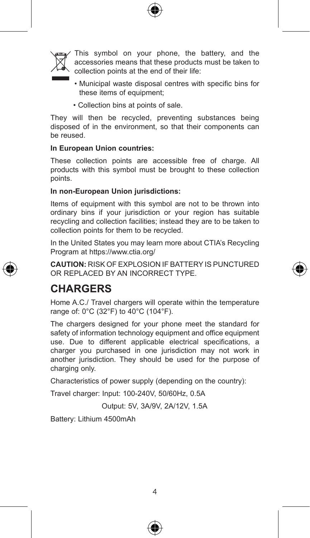



This symbol on your phone, the battery, and the accessories means that these products must be taken to collection points at the end of their life:

- Municipal waste disposal centres with specific bins for these items of equipment;
- Collection bins at points of sale.

They will then be recycled, preventing substances being disposed of in the environment, so that their components can be reused.

#### **In European Union countries:**

These collection points are accessible free of charge. All products with this symbol must be brought to these collection points.

#### **In non-European Union jurisdictions:**

Items of equipment with this symbol are not to be thrown into ordinary bins if your jurisdiction or your region has suitable recycling and collection facilities; instead they are to be taken to collection points for them to be recycled.

In the United States you may learn more about CTIA's Recycling Program at https://www.ctia.org/

**CAUTION:** RISK OF EXPLOSION IF BATTERY IS PUNCTURED OR REPLACED BY AN INCORRECT TYPE.

## **CHARGERS**

Home A.C./ Travel chargers will operate within the temperature range of: 0°C (32°F) to 40°C (104°F).

The chargers designed for your phone meet the standard for safety of information technology equipment and office equipment use. Due to different applicable electrical specifications, a charger you purchased in one jurisdiction may not work in another jurisdiction. They should be used for the purpose of charging only.

Characteristics of power supply (depending on the country):

Travel charger: Input: 100-240V, 50/60Hz, 0.5A

Output: 5V, 3A/9V, 2A/12V, 1.5A

Battery: Lithium 4500mAh



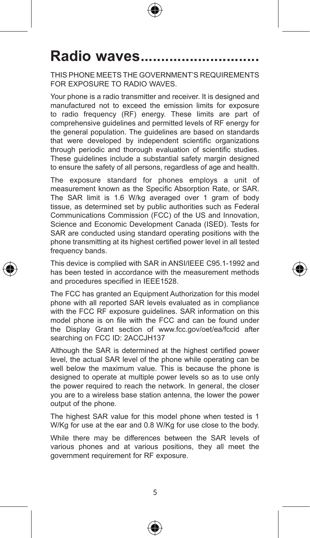

# Radio waves...

THIS PHONE MEETS THE GOVERNMENT'S REQUIREMENTS FOR EXPOSURE TO RADIO WAVES.

Your phone is a radio transmitter and receiver. It is designed and manufactured not to exceed the emission limits for exposure to radio frequency (RF) energy. These limits are part of comprehensive guidelines and permitted levels of RF energy for the general population. The guidelines are based on standards that were developed by independent scientific organizations through periodic and thorough evaluation of scientific studies. These guidelines include a substantial safety margin designed to ensure the safety of all persons, regardless of age and health.

The exposure standard for phones employs a unit of measurement known as the Specific Absorption Rate, or SAR. The SAR limit is 1.6 W/kg averaged over 1 gram of body tissue, as determined set by public authorities such as Federal Communications Commission (FCC) of the US and Innovation, Science and Economic Development Canada (ISED). Tests for SAR are conducted using standard operating positions with the phone transmitting at its highest certified power level in all tested frequency bands.

This device is complied with SAR in ANSI/IEEE C95.1-1992 and has been tested in accordance with the measurement methods and procedures specified in IEEE1528.

The FCC has granted an Equipment Authorization for this model phone with all reported SAR levels evaluated as in compliance with the FCC RF exposure guidelines. SAR information on this model phone is on file with the FCC and can be found under the Display Grant section of www.fcc.gov/oet/ea/fccid after searching on FCC ID: 2ACCJH137

Although the SAR is determined at the highest certified power level, the actual SAR level of the phone while operating can be well below the maximum value. This is because the phone is designed to operate at multiple power levels so as to use only the power required to reach the network. In general, the closer you are to a wireless base station antenna, the lower the power output of the phone.

The highest SAR value for this model phone when tested is 1 W/Kg for use at the ear and 0.8 W/Kg for use close to the body.

While there may be differences between the SAR levels of various phones and at various positions, they all meet the government requirement for RF exposure.



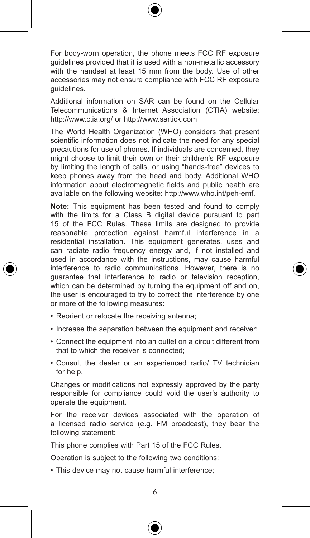

For body-worn operation, the phone meets FCC RF exposure guidelines provided that it is used with a non-metallic accessory with the handset at least 15 mm from the body. Use of other accessories may not ensure compliance with FCC RF exposure guidelines.

Additional information on SAR can be found on the Cellular Telecommunications & Internet Association (CTIA) website: http://www.ctia.org/ or http://www.sartick.com

The World Health Organization (WHO) considers that present scientific information does not indicate the need for any special precautions for use of phones. If individuals are concerned, they might choose to limit their own or their children's RF exposure by limiting the length of calls, or using "hands-free" devices to keep phones away from the head and body. Additional WHO information about electromagnetic fields and public health are available on the following website: http://www.who.int/peh-emf.

**Note:** This equipment has been tested and found to comply with the limits for a Class B digital device pursuant to part 15 of the FCC Rules. These limits are designed to provide reasonable protection against harmful interference in a residential installation. This equipment generates, uses and can radiate radio frequency energy and, if not installed and used in accordance with the instructions, may cause harmful interference to radio communications. However, there is no guarantee that interference to radio or television reception, which can be determined by turning the equipment off and on, the user is encouraged to try to correct the interference by one or more of the following measures:

- Reorient or relocate the receiving antenna:
- Increase the separation between the equipment and receiver:
- • Connect the equipment into an outlet on a circuit different from that to which the receiver is connected;
- • Consult the dealer or an experienced radio/ TV technician for help.

Changes or modifications not expressly approved by the party responsible for compliance could void the user's authority to operate the equipment.

For the receiver devices associated with the operation of a licensed radio service (e.g. FM broadcast), they bear the following statement:

This phone complies with Part 15 of the FCC Rules.

Operation is subject to the following two conditions:

• This device may not cause harmful interference;

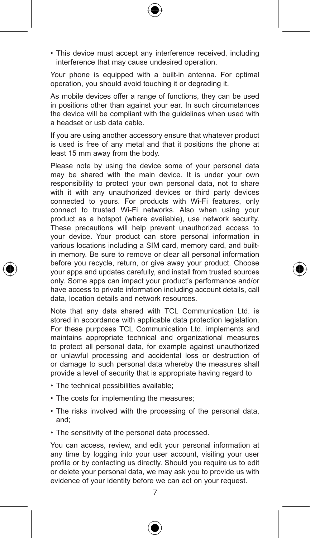• This device must accept any interference received, including interference that may cause undesired operation.

Your phone is equipped with a built-in antenna. For optimal operation, you should avoid touching it or degrading it.

As mobile devices offer a range of functions, they can be used in positions other than against your ear. In such circumstances the device will be compliant with the guidelines when used with a headset or usb data cable.

If you are using another accessory ensure that whatever product is used is free of any metal and that it positions the phone at least 15 mm away from the body.

Please note by using the device some of your personal data may be shared with the main device. It is under your own responsibility to protect your own personal data, not to share with it with any unauthorized devices or third party devices connected to yours. For products with Wi-Fi features, only connect to trusted Wi-Fi networks. Also when using your product as a hotspot (where available), use network security. These precautions will help prevent unauthorized access to your device. Your product can store personal information in various locations including a SIM card, memory card, and builtin memory. Be sure to remove or clear all personal information before you recycle, return, or give away your product. Choose your apps and updates carefully, and install from trusted sources only. Some apps can impact your product's performance and/or have access to private information including account details, call data, location details and network resources.

Note that any data shared with TCL Communication Ltd. is stored in accordance with applicable data protection legislation. For these purposes TCL Communication Ltd. implements and maintains appropriate technical and organizational measures to protect all personal data, for example against unauthorized or unlawful processing and accidental loss or destruction of or damage to such personal data whereby the measures shall provide a level of security that is appropriate having regard to

- The technical possibilities available;
- The costs for implementing the measures;
- The risks involved with the processing of the personal data, and;
- The sensitivity of the personal data processed.

You can access, review, and edit your personal information at any time by logging into your user account, visiting your user profile or by contacting us directly. Should you require us to edit or delete your personal data, we may ask you to provide us with evidence of your identity before we can act on your request.





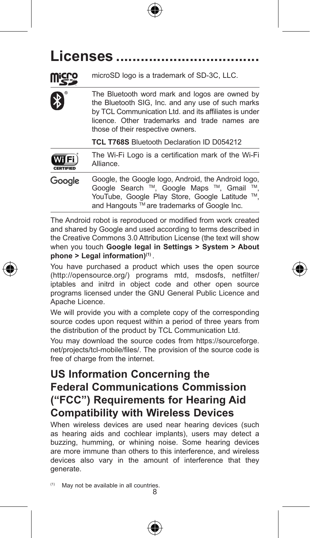



The Bluetooth word mark and logos are owned by the Bluetooth SIG, Inc. and any use of such marks by TCL Communication Ltd. and its affiliates is under licence. Other trademarks and trade names are those of their respective owners.

**TCL T768S** Bluetooth Declaration ID D054212

| (III)            | The Wi-Fi Logo is a certification mark of the Wi-Fi                                                                                                                                                  |
|------------------|------------------------------------------------------------------------------------------------------------------------------------------------------------------------------------------------------|
| <b>CERTIFIED</b> | Alliance.                                                                                                                                                                                            |
| Gooale           | Google, the Google logo, Android, the Android logo,<br>Google Search ™. Google Maps ™. Gmail<br>TM<br>YouTube, Google Play Store, Google Latitude ™.<br>and Hangouts ™ are trademarks of Google Inc. |

The Android robot is reproduced or modified from work created and shared by Google and used according to terms described in the Creative Commons 3.0 Attribution License (the text will show when you touch **Google legal in Settings > System > About phone > Legal information)(1)** .

You have purchased a product which uses the open source (http://opensource.org/) programs mtd, msdosfs, netfilter/ iptables and initrd in object code and other open source programs licensed under the GNU General Public Licence and Apache Licence.

We will provide you with a complete copy of the corresponding source codes upon request within a period of three years from the distribution of the product by TCL Communication Ltd.

You may download the source codes from https://sourceforge. net/projects/tcl-mobile/files/. The provision of the source code is free of charge from the internet.

## **US Information Concerning the Federal Communications Commission ("FCC") Requirements for Hearing Aid Compatibility with Wireless Devices**

When wireless devices are used near hearing devices (such as hearing aids and cochlear implants), users may detect a buzzing, humming, or whining noise. Some hearing devices are more immune than others to this interference, and wireless devices also vary in the amount of interference that they generate.

8 (1) May not be available in all countries





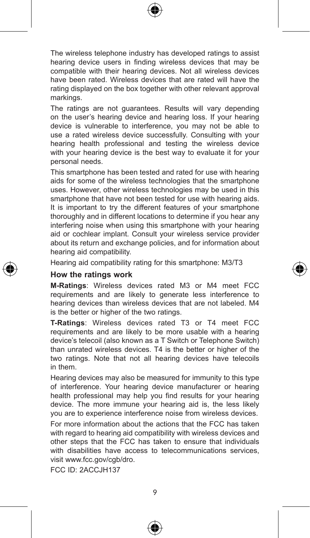

The wireless telephone industry has developed ratings to assist hearing device users in finding wireless devices that may be compatible with their hearing devices. Not all wireless devices have been rated. Wireless devices that are rated will have the rating displayed on the box together with other relevant approval markings.

The ratings are not guarantees. Results will vary depending on the user's hearing device and hearing loss. If your hearing device is vulnerable to interference, you may not be able to use a rated wireless device successfully. Consulting with your hearing health professional and testing the wireless device with your hearing device is the best way to evaluate it for your personal needs.

This smartphone has been tested and rated for use with hearing aids for some of the wireless technologies that the smartphone uses. However, other wireless technologies may be used in this smartphone that have not been tested for use with hearing aids. It is important to try the different features of your smartphone thoroughly and in different locations to determine if you hear any interfering noise when using this smartphone with your hearing aid or cochlear implant. Consult your wireless service provider about its return and exchange policies, and for information about hearing aid compatibility.

Hearing aid compatibility rating for this smartphone: M3/T3

#### **How the ratings work**

**M-Ratings**: Wireless devices rated M3 or M4 meet FCC requirements and are likely to generate less interference to hearing devices than wireless devices that are not labeled. M4 is the better or higher of the two ratings.

**T-Ratings**: Wireless devices rated T3 or T4 meet FCC requirements and are likely to be more usable with a hearing device's telecoil (also known as a T Switch or Telephone Switch) than unrated wireless devices. T4 is the better or higher of the two ratings. Note that not all hearing devices have telecoils in them.

Hearing devices may also be measured for immunity to this type of interference. Your hearing device manufacturer or hearing health professional may help you find results for your hearing device. The more immune your hearing aid is, the less likely you are to experience interference noise from wireless devices.

For more information about the actions that the FCC has taken with regard to hearing aid compatibility with wireless devices and other steps that the FCC has taken to ensure that individuals with disabilities have access to telecommunications services. visit www.fcc.gov/cgb/dro.

FCC ID: 2ACCJH137

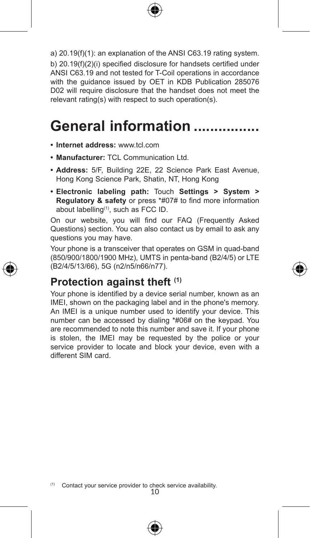

a) 20.19(f)(1): an explanation of the ANSI C63.19 rating system. b) 20.19(f)(2)(i) specified disclosure for handsets certified under ANSI C63.19 and not tested for T-Coil operations in accordance with the guidance issued by OET in KDB Publication 285076 D02 will require disclosure that the handset does not meet the relevant rating(s) with respect to such operation(s).

# General information ................

- **• Internet address:** www.tcl.com
- **• Manufacturer:** TCL Communication Ltd.
- **• Address:** 5/F, Building 22E, 22 Science Park East Avenue, Hong Kong Science Park, Shatin, NT, Hong Kong
- **• Electronic labeling path:** Touch **Settings > System > Regulatory & safety** or press \*#07# to find more information about labelling(1), such as FCC ID.

On our website, you will find our FAQ (Frequently Asked Questions) section. You can also contact us by email to ask any questions you may have.

Your phone is a transceiver that operates on GSM in quad-band (850/900/1800/1900 MHz), UMTS in penta-band (B2/4/5) or LTE (B2/4/5/13/66), 5G (n2/n5/n66/n77).

### **Protection against theft (1)**

Your phone is identified by a device serial number, known as an IMEI, shown on the packaging label and in the phone's memory. An IMEI is a unique number used to identify your device. This number can be accessed by dialing \*#06# on the keypad. You are recommended to note this number and save it. If your phone is stolen, the IMEI may be requested by the police or your service provider to locate and block your device, even with a different SIM card.



<sup>(1)</sup> Contact your service provider to check service availability.<br> $10$ 

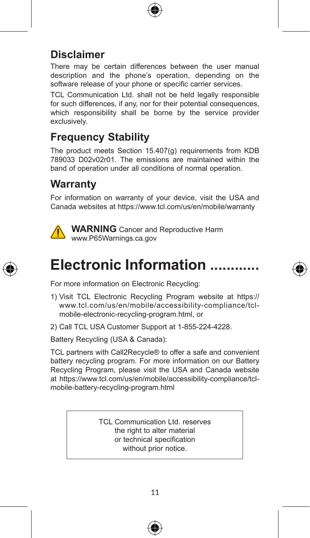

## **Disclaimer**

There may be certain differences between the user manual description and the phone's operation, depending on the software release of your phone or specific carrier services.

TCL Communication Ltd. shall not be held legally responsible for such differences, if any, nor for their potential consequences, which responsibility shall be borne by the service provider exclusively.

## **Frequency Stability**

The product meets Section 15.407(g) requirements from KDB 789033 D02v02r01. The emissions are maintained within the band of operation under all conditions of normal operation.

## **Warranty**

For information on warranty of your device, visit the USA and Canada websites at https://www.tcl.com/us/en/mobile/warranty



**WARNING** Cancer and Reproductive Harm www.P65Warnings.ca.gov



# **Electronic Information ............**

For more information on Electronic Recycling:

- 1) Visit TCL Electronic Recycling Program website at https:// www.tcl.com/us/en/mobile/accessibility-compliance/tclmobile-electronic-recycling-program.html, or
- 2) Call TCL USA Customer Support at 1-855-224-4228.

Battery Recycling (USA & Canada):

TCL partners with Call2Recycle® to offer a safe and convenient battery recycling program. For more information on our Battery Recycling Program, please visit the USA and Canada website at https://www.tcl.com/us/en/mobile/accessibility-compliance/tclmobile-battery-recycling-program.html

> TCL Communication Ltd. reserves the right to alter material or technical specification without prior notice.



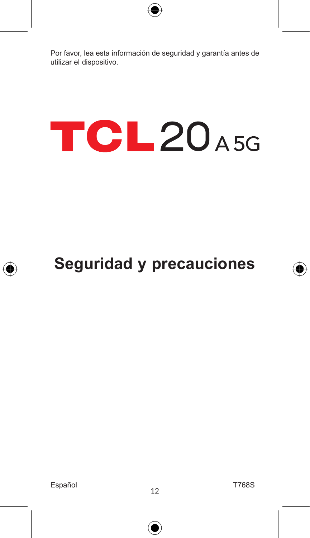

Por favor, lea esta información de seguridad y garantía antes de utilizar el dispositivo.

# **TCL20A5G**

# **Seguridad y precauciones**

Español<br>
12

€

T768S

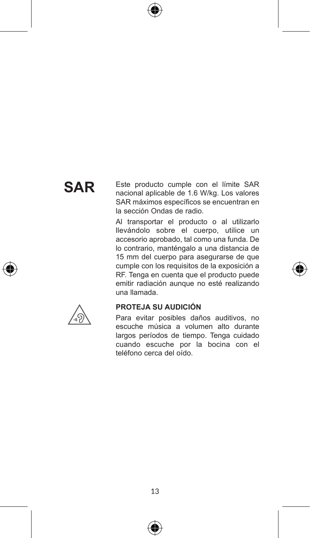# **SAR**

Este producto cumple con el límite SAR nacional aplicable de 1.6 W/kg. Los valores SAR máximos específicos se encuentran en la sección Ondas de radio.

Al transportar el producto o al utilizarlo llevándolo sobre el cuerpo, utilice un accesorio aprobado, tal como una funda. De lo contrario, manténgalo a una distancia de 15 mm del cuerpo para asegurarse de que cumple con los requisitos de la exposición a RF. Tenga en cuenta que el producto puede emitir radiación aunque no esté realizando una llamada.



#### **PROTEJA SU AUDICIÓN**

Para evitar posibles daños auditivos, no escuche música a volumen alto durante largos períodos de tiempo. Tenga cuidado cuando escuche por la bocina con el teléfono cerca del oído.



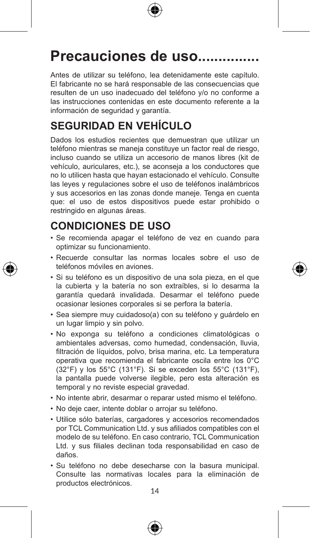

## **Precauciones de uso...............**

Antes de utilizar su teléfono, lea detenidamente este capítulo. El fabricante no se hará responsable de las consecuencias que resulten de un uso inadecuado del teléfono y/o no conforme a las instrucciones contenidas en este documento referente a la información de seguridad y garantía.

## **SEGURIDAD EN VEHÍCULO**

Dados los estudios recientes que demuestran que utilizar un teléfono mientras se maneja constituye un factor real de riesgo, incluso cuando se utiliza un accesorio de manos libres (kit de vehículo, auriculares, etc.), se aconseja a los conductores que no lo utilicen hasta que hayan estacionado el vehículo. Consulte las leyes y regulaciones sobre el uso de teléfonos inalámbricos y sus accesorios en las zonas donde maneje. Tenga en cuenta que: el uso de estos dispositivos puede estar prohibido o restringido en algunas áreas.

## **CONDICIONES DE USO**

- • Se recomienda apagar el teléfono de vez en cuando para optimizar su funcionamiento.
- • Recuerde consultar las normas locales sobre el uso de teléfonos móviles en aviones.
- • Si su teléfono es un dispositivo de una sola pieza, en el que la cubierta y la batería no son extraíbles, si lo desarma la garantía quedará invalidada. Desarmar el teléfono puede ocasionar lesiones corporales si se perfora la batería.
- • Sea siempre muy cuidadoso(a) con su teléfono y guárdelo en un lugar limpio y sin polvo.
- • No exponga su teléfono a condiciones climatológicas o ambientales adversas, como humedad, condensación, lluvia, filtración de líquidos, polvo, brisa marina, etc. La temperatura operativa que recomienda el fabricante oscila entre los 0°C (32°F) y los 55°C (131°F). Si se exceden los 55°C (131°F), la pantalla puede volverse ilegible, pero esta alteración es temporal y no reviste especial gravedad.
- • No intente abrir, desarmar o reparar usted mismo el teléfono.
- • No deje caer, intente doblar o arrojar su teléfono.
- • Utilice sólo baterías, cargadores y accesorios recomendados por TCL Communication Ltd. y sus afiliados compatibles con el modelo de su teléfono. En caso contrario, TCL Communication Ltd. y sus filiales declinan toda responsabilidad en caso de daños.
- • Su teléfono no debe desecharse con la basura municipal. Consulte las normativas locales para la eliminación de productos electrónicos.

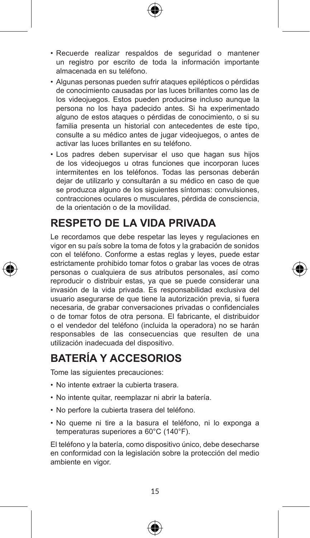- • Recuerde realizar respaldos de seguridad o mantener un registro por escrito de toda la información importante almacenada en su teléfono.
- • Algunas personas pueden sufrir ataques epilépticos o pérdidas de conocimiento causadas por las luces brillantes como las de los videojuegos. Estos pueden producirse incluso aunque la persona no los haya padecido antes. Si ha experimentado alguno de estos ataques o pérdidas de conocimiento, o si su familia presenta un historial con antecedentes de este tipo, consulte a su médico antes de jugar videojuegos, o antes de activar las luces brillantes en su teléfono.
- • Los padres deben supervisar el uso que hagan sus hijos de los videojuegos u otras funciones que incorporan luces intermitentes en los teléfonos. Todas las personas deberán dejar de utilizarlo y consultarán a su médico en caso de que se produzca alguno de los siguientes síntomas: convulsiones, contracciones oculares o musculares, pérdida de consciencia, de la orientación o de la movilidad.

### **RESPETO DE LA VIDA PRIVADA**

Le recordamos que debe respetar las leyes y regulaciones en vigor en su país sobre la toma de fotos y la grabación de sonidos con el teléfono. Conforme a estas reglas y leyes, puede estar estrictamente prohibido tomar fotos o grabar las voces de otras personas o cualquiera de sus atributos personales, así como reproducir o distribuir estas, ya que se puede considerar una invasión de la vida privada. Es responsabilidad exclusiva del usuario asegurarse de que tiene la autorización previa, si fuera necesaria, de grabar conversaciones privadas o confidenciales o de tomar fotos de otra persona. El fabricante, el distribuidor o el vendedor del teléfono (incluida la operadora) no se harán responsables de las consecuencias que resulten de una utilización inadecuada del dispositivo.

## **BATERÍA Y ACCESORIOS**

Tome las siguientes precauciones:

- No intente extraer la cubierta trasera.
- • No intente quitar, reemplazar ni abrir la batería.
- • No perfore la cubierta trasera del teléfono.
- • No queme ni tire a la basura el teléfono, ni lo exponga a temperaturas superiores a 60°C (140°F).

El teléfono y la batería, como dispositivo único, debe desecharse en conformidad con la legislación sobre la protección del medio ambiente en vigor.





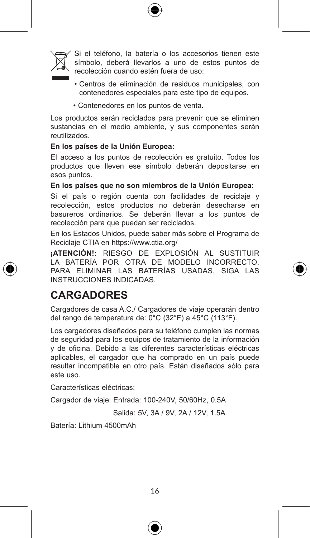



Si el teléfono, la batería o los accesorios tienen este símbolo, deberá llevarlos a uno de estos puntos de recolección cuando estén fuera de uso:

- Centros de eliminación de residuos municipales, con contenedores especiales para este tipo de equipos.
- Contenedores en los puntos de venta.

Los productos serán reciclados para prevenir que se eliminen sustancias en el medio ambiente, y sus componentes serán reutilizados.

#### **En los países de la Unión Europea:**

El acceso a los puntos de recolección es gratuito. Todos los productos que lleven ese símbolo deberán depositarse en esos puntos.

#### **En los países que no son miembros de la Unión Europea:**

Si el país o región cuenta con facilidades de reciclaje y recolección, estos productos no deberán desecharse en basureros ordinarios. Se deberán llevar a los puntos de recolección para que puedan ser reciclados.

En los Estados Unidos, puede saber más sobre el Programa de Reciclaje CTIA en https://www.ctia.org/

**¡ATENCIÓN!:** RIESGO DE EXPLOSIÓN AL SUSTITUIR LA BATERÍA POR OTRA DE MODELO INCORRECTO. PARA ELIMINAR LAS BATERÍAS USADAS, SIGA LAS INSTRUCCIONES INDICADAS.

## **CARGADORES**

Cargadores de casa A.C./ Cargadores de viaje operarán dentro del rango de temperatura de: 0°C (32°F) a 45°C (113°F).

Los cargadores diseñados para su teléfono cumplen las normas de seguridad para los equipos de tratamiento de la información y de oficina. Debido a las diferentes características eléctricas aplicables, el cargador que ha comprado en un país puede resultar incompatible en otro país. Están diseñados sólo para este uso.

Características eléctricas:

Cargador de viaje: Entrada: 100-240V, 50/60Hz, 0.5A

Salida: 5V, 3A / 9V, 2A / 12V, 1.5A

Batería: Lithium 4500mAh

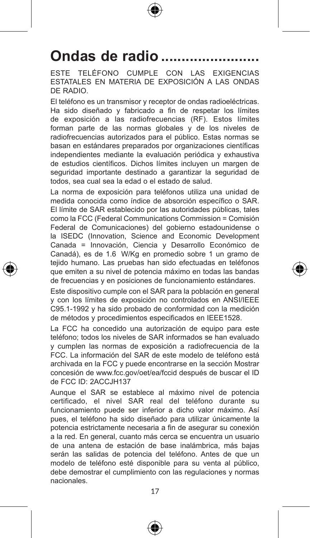# Ondas de radio ...

ESTE TELÉFONO CUMPLE CON LAS EXIGENCIAS ESTATALES EN MATERIA DE EXPOSICIÓN A LAS ONDAS DE RADIO.

El teléfono es un transmisor y receptor de ondas radioeléctricas. Ha sido diseñado y fabricado a fin de respetar los límites de exposición a las radiofrecuencias (RF). Estos límites forman parte de las normas globales y de los niveles de radiofrecuencias autorizados para el público. Estas normas se basan en estándares preparados por organizaciones científicas independientes mediante la evaluación periódica y exhaustiva de estudios científicos. Dichos límites incluyen un margen de seguridad importante destinado a garantizar la seguridad de todos, sea cual sea la edad o el estado de salud.

La norma de exposición para teléfonos utiliza una unidad de medida conocida como índice de absorción específico o SAR. El límite de SAR establecido por las autoridades públicas, tales como la FCC (Federal Communications Commission = Comisión Federal de Comunicaciones) del gobierno estadounidense o la ISEDC (Innovation, Science and Economic Development Canada = Innovación, Ciencia y Desarrollo Económico de Canadá), es de 1.6 W/Kg en promedio sobre 1 un gramo de tejido humano. Las pruebas han sido efectuadas en teléfonos que emiten a su nivel de potencia máximo en todas las bandas de frecuencias y en posiciones de funcionamiento estándares.

Este dispositivo cumple con el SAR para la población en general y con los límites de exposición no controlados en ANSI/IEEE C95.1-1992 y ha sido probado de conformidad con la medición de métodos y procedimientos especificados en IEEE1528.

La FCC ha concedido una autorización de equipo para este teléfono; todos los niveles de SAR informados se han evaluado y cumplen las normas de exposición a radiofrecuencia de la FCC. La información del SAR de este modelo de teléfono está archivada en la FCC y puede encontrarse en la sección Mostrar concesión de www.fcc.gov/oet/ea/fccid después de buscar el ID de FCC ID: 2ACCJH137

Aunque el SAR se establece al máximo nivel de potencia certificado, el nivel SAR real del teléfono durante su funcionamiento puede ser inferior a dicho valor máximo. Así pues, el teléfono ha sido diseñado para utilizar únicamente la potencia estrictamente necesaria a fin de asegurar su conexión a la red. En general, cuanto más cerca se encuentra un usuario de una antena de estación de base inalámbrica, más bajas serán las salidas de potencia del teléfono. Antes de que un modelo de teléfono esté disponible para su venta al público, debe demostrar el cumplimiento con las regulaciones y normas nacionales.



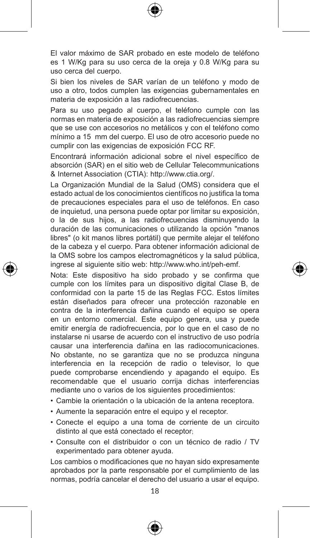El valor máximo de SAR probado en este modelo de teléfono es 1 W/Kg para su uso cerca de la oreja y 0.8 W/Kg para su uso cerca del cuerpo.

Si bien los niveles de SAR varían de un teléfono y modo de uso a otro, todos cumplen las exigencias gubernamentales en materia de exposición a las radiofrecuencias.

Para su uso pegado al cuerpo, el teléfono cumple con las normas en materia de exposición a las radiofrecuencias siempre que se use con accesorios no metálicos y con el teléfono como mínimo a 15 mm del cuerpo. El uso de otro accesorio puede no cumplir con las exigencias de exposición FCC RF.

Encontrará información adicional sobre el nivel específico de absorción (SAR) en el sitio web de Cellular Telecommunications & Internet Association (CTIA): http://www.ctia.org/.

La Organización Mundial de la Salud (OMS) considera que el estado actual de los conocimientos científicos no justifica la toma de precauciones especiales para el uso de teléfonos. En caso de inquietud, una persona puede optar por limitar su exposición, o la de sus hijos, a las radiofrecuencias disminuyendo la duración de las comunicaciones o utilizando la opción "manos libres" (o kit manos libres portátil) que permite alejar el teléfono de la cabeza y el cuerpo. Para obtener información adicional de la OMS sobre los campos electromagnéticos y la salud pública, ingrese al siguiente sitio web: http://www.who.int/peh-emf.

Nota: Este dispositivo ha sido probado y se confirma que cumple con los límites para un dispositivo digital Clase B, de conformidad con la parte 15 de las Reglas FCC. Estos límites están diseñados para ofrecer una protección razonable en contra de la interferencia dañina cuando el equipo se opera en un entorno comercial. Este equipo genera, usa y puede emitir energía de radiofrecuencia, por lo que en el caso de no instalarse ni usarse de acuerdo con el instructivo de uso podría causar una interferencia dañina en las radiocomunicaciones. No obstante, no se garantiza que no se produzca ninguna interferencia en la recepción de radio o televisor, lo que puede comprobarse encendiendo y apagando el equipo. Es recomendable que el usuario corrija dichas interferencias mediante uno o varios de los siguientes procedimientos:

- • Cambie la orientación o la ubicación de la antena receptora.
- • Aumente la separación entre el equipo y el receptor.
- • Conecte el equipo a una toma de corriente de un circuito distinto al que está conectado el receptor;
- • Consulte con el distribuidor o con un técnico de radio / TV experimentado para obtener ayuda.

Los cambios o modificaciones que no hayan sido expresamente aprobados por la parte responsable por el cumplimiento de las normas, podría cancelar el derecho del usuario a usar el equipo.



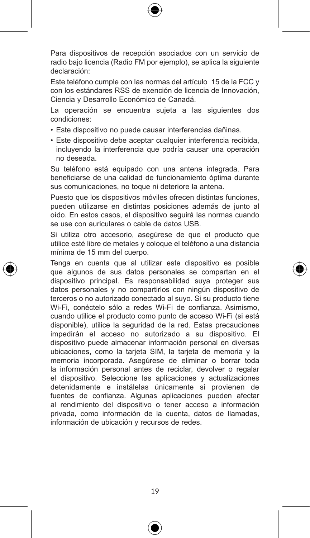

Para dispositivos de recepción asociados con un servicio de radio bajo licencia (Radio FM por ejemplo), se aplica la siguiente declaración:

Este teléfono cumple con las normas del artículo 15 de la FCC y con los estándares RSS de exención de licencia de Innovación, Ciencia y Desarrollo Económico de Canadá.

La operación se encuentra sujeta a las siguientes dos condiciones:

- • Este dispositivo no puede causar interferencias dañinas.
- • Este dispositivo debe aceptar cualquier interferencia recibida, incluyendo la interferencia que podría causar una operación no deseada.

Su teléfono está equipado con una antena integrada. Para beneficiarse de una calidad de funcionamiento óptima durante sus comunicaciones, no toque ni deteriore la antena.

Puesto que los dispositivos móviles ofrecen distintas funciones, pueden utilizarse en distintas posiciones además de junto al oído. En estos casos, el dispositivo seguirá las normas cuando se use con auriculares o cable de datos USB.

Si utiliza otro accesorio, asegúrese de que el producto que utilice esté libre de metales y coloque el teléfono a una distancia mínima de 15 mm del cuerpo.

Tenga en cuenta que al utilizar este dispositivo es posible que algunos de sus datos personales se compartan en el dispositivo principal. Es responsabilidad suya proteger sus datos personales y no compartirlos con ningún dispositivo de terceros o no autorizado conectado al suyo. Si su producto tiene Wi-Fi, conéctelo sólo a redes Wi-Fi de confianza. Asimismo, cuando utilice el producto como punto de acceso Wi-Fi (si está disponible), utilice la seguridad de la red. Estas precauciones impedirán el acceso no autorizado a su dispositivo. El dispositivo puede almacenar información personal en diversas ubicaciones, como la tarjeta SIM, la tarjeta de memoria y la memoria incorporada. Asegúrese de eliminar o borrar toda la información personal antes de reciclar, devolver o regalar el dispositivo. Seleccione las aplicaciones y actualizaciones detenidamente e instálelas únicamente si provienen de fuentes de confianza. Algunas aplicaciones pueden afectar al rendimiento del dispositivo o tener acceso a información privada, como información de la cuenta, datos de llamadas, información de ubicación y recursos de redes.





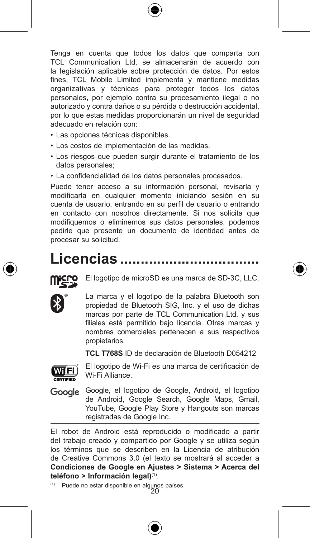

Tenga en cuenta que todos los datos que comparta con TCL Communication Ltd. se almacenarán de acuerdo con la legislación aplicable sobre protección de datos. Por estos fines, TCL Mobile Limited implementa y mantiene medidas organizativas y técnicas para proteger todos los datos personales, por ejemplo contra su procesamiento ilegal o no autorizado y contra daños o su pérdida o destrucción accidental, por lo que estas medidas proporcionarán un nivel de seguridad adecuado en relación con:

- Las opciones técnicas disponibles.
- • Los costos de implementación de las medidas.
- • Los riesgos que pueden surgir durante el tratamiento de los datos personales;
- • La confidencialidad de los datos personales procesados.

Puede tener acceso a su información personal, revisarla y modificarla en cualquier momento iniciando sesión en su cuenta de usuario, entrando en su perfil de usuario o entrando en contacto con nosotros directamente. Si nos solicita que modifiquemos o eliminemos sus datos personales, podemos pedirle que presente un documento de identidad antes de procesar su solicitud.

## **Licencias ����������������������������������**



El logotipo de microSD es una marca de SD-3C, LLC.



**TCL T768S** ID de declaración de Bluetooth D054212



El logotipo de Wi-Fi es una marca de certificación de Wi-Fi Alliance.

Google Google, el logotipo de Google, Android, el logotipo de Android, Google Search, Google Maps, Gmail, YouTube, Google Play Store y Hangouts son marcas registradas de Google Inc.

El robot de Android está reproducido o modificado a partir del trabajo creado y compartido por Google y se utiliza según los términos que se describen en la Licencia de atribución de Creative Commons 3.0 (el texto se mostrará al acceder a **Condiciones de Google en Ajustes > Sistema > Acerca del teléfono > Información legal)**(1).

20 (1) Puede no estar disponible en algunos países.

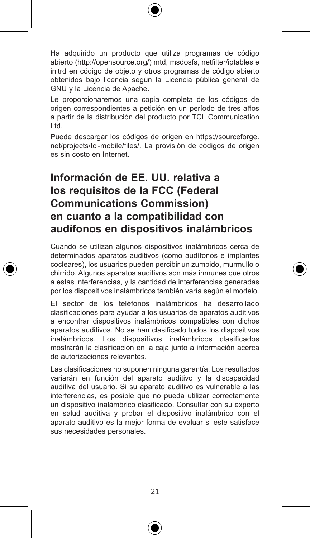

Ha adquirido un producto que utiliza programas de código abierto (http://opensource.org/) mtd, msdosfs, netfilter/iptables e initrd en código de objeto y otros programas de código abierto obtenidos bajo licencia según la Licencia pública general de GNU y la Licencia de Apache.

Le proporcionaremos una copia completa de los códigos de origen correspondientes a petición en un período de tres años a partir de la distribución del producto por TCL Communication Ltd.

Puede descargar los códigos de origen en https://sourceforge. net/projects/tcl-mobile/files/. La provisión de códigos de origen es sin costo en Internet.

## **Información de EE. UU. relativa a los requisitos de la FCC (Federal Communications Commission) en cuanto a la compatibilidad con audífonos en dispositivos inalámbricos**

Cuando se utilizan algunos dispositivos inalámbricos cerca de determinados aparatos auditivos (como audífonos e implantes cocleares), los usuarios pueden percibir un zumbido, murmullo o chirrido. Algunos aparatos auditivos son más inmunes que otros a estas interferencias, y la cantidad de interferencias generadas por los dispositivos inalámbricos también varía según el modelo.

El sector de los teléfonos inalámbricos ha desarrollado clasificaciones para ayudar a los usuarios de aparatos auditivos a encontrar dispositivos inalámbricos compatibles con dichos aparatos auditivos. No se han clasificado todos los dispositivos inalámbricos. Los dispositivos inalámbricos clasificados mostrarán la clasificación en la caja junto a información acerca de autorizaciones relevantes.

Las clasificaciones no suponen ninguna garantía. Los resultados variarán en función del aparato auditivo y la discapacidad auditiva del usuario. Si su aparato auditivo es vulnerable a las interferencias, es posible que no pueda utilizar correctamente un dispositivo inalámbrico clasificado. Consultar con su experto en salud auditiva y probar el dispositivo inalámbrico con el aparato auditivo es la mejor forma de evaluar si este satisface sus necesidades personales.





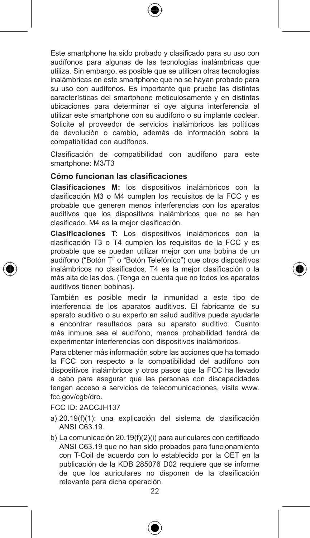

Este smartphone ha sido probado y clasificado para su uso con audífonos para algunas de las tecnologías inalámbricas que utiliza. Sin embargo, es posible que se utilicen otras tecnologías inalámbricas en este smartphone que no se hayan probado para su uso con audífonos. Es importante que pruebe las distintas características del smartphone meticulosamente y en distintas ubicaciones para determinar si oye alguna interferencia al utilizar este smartphone con su audífono o su implante coclear. Solicite al proveedor de servicios inalámbricos las políticas de devolución o cambio, además de información sobre la compatibilidad con audífonos.

Clasificación de compatibilidad con audífono para este smartphone: M3/T3

#### **Cómo funcionan las clasificaciones**

**Clasificaciones M:** los dispositivos inalámbricos con la clasificación M3 o M4 cumplen los requisitos de la FCC y es probable que generen menos interferencias con los aparatos auditivos que los dispositivos inalámbricos que no se han clasificado. M4 es la mejor clasificación.

**Clasificaciones T:** Los dispositivos inalámbricos con la clasificación T3 o T4 cumplen los requisitos de la FCC y es probable que se puedan utilizar mejor con una bobina de un audífono ("Botón T" o "Botón Telefónico") que otros dispositivos inalámbricos no clasificados. T4 es la mejor clasificación o la más alta de las dos. (Tenga en cuenta que no todos los aparatos auditivos tienen bobinas).

También es posible medir la inmunidad a este tipo de interferencia de los aparatos auditivos. El fabricante de su aparato auditivo o su experto en salud auditiva puede ayudarle a encontrar resultados para su aparato auditivo. Cuanto más inmune sea el audífono, menos probabilidad tendrá de experimentar interferencias con dispositivos inalámbricos.

Para obtener más información sobre las acciones que ha tomado la FCC con respecto a la compatibilidad del audífono con dispositivos inalámbricos y otros pasos que la FCC ha llevado a cabo para asegurar que las personas con discapacidades tengan acceso a servicios de telecomunicaciones, visite www. fcc.gov/cgb/dro.

FCC ID: 2ACCJH137

- a) 20.19(f)(1): una explicación del sistema de clasificación ANSI C63.19.
- b) La comunicación 20.19(f)(2)(i) para auriculares con certificado ANSI C63.19 que no han sido probados para funcionamiento con T-Coil de acuerdo con lo establecido por la OET en la publicación de la KDB 285076 D02 requiere que se informe de que los auriculares no disponen de la clasificación relevante para dicha operación.

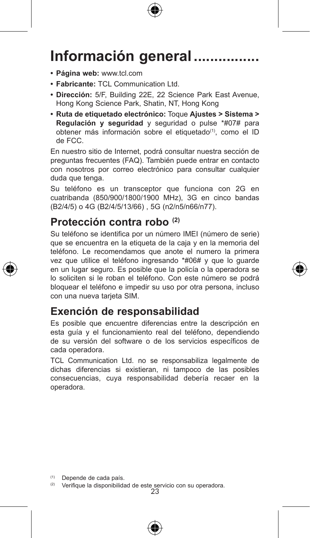

# **Información general.**

- **• Página web:** www.tcl.com
- **• Fabricante:** TCL Communication Ltd.
- **• Dirección:** 5/F, Building 22E, 22 Science Park East Avenue, Hong Kong Science Park, Shatin, NT, Hong Kong
- **• Ruta de etiquetado electrónico:** Toque **Ajustes > Sistema > Regulación y seguridad** y seguridad o pulse \*#07# para obtener más información sobre el etiquetado<sup>(1)</sup>, como el ID de FCC.

En nuestro sitio de Internet, podrá consultar nuestra sección de preguntas frecuentes (FAQ). También puede entrar en contacto con nosotros por correo electrónico para consultar cualquier duda que tenga.

Su teléfono es un transceptor que funciona con 2G en cuatribanda (850/900/1800/1900 MHz), 3G en cinco bandas (B2/4/5) o 4G (B2/4/5/13/66) , 5G (n2/n5/n66/n77).

## **Protección contra robo (2)**

Su teléfono se identifica por un número IMEI (número de serie) que se encuentra en la etiqueta de la caja y en la memoria del teléfono. Le recomendamos que anote el numero la primera vez que utilice el teléfono ingresando \*#06# y que lo guarde en un lugar seguro. Es posible que la policía o la operadora se lo soliciten si le roban el teléfono. Con este número se podrá bloquear el teléfono e impedir su uso por otra persona, incluso con una nueva tarjeta SIM.

### **Exención de responsabilidad**

Es posible que encuentre diferencias entre la descripción en esta guía y el funcionamiento real del teléfono, dependiendo de su versión del software o de los servicios específicos de cada operadora.

TCL Communication Ltd. no se responsabiliza legalmente de dichas diferencias si existieran, ni tampoco de las posibles consecuencias, cuya responsabilidad debería recaer en la operadora.

(1) Depende de cada país.

<sup>(2)</sup> Verifique la disponibilidad de este servicio con su operadora.<br>23